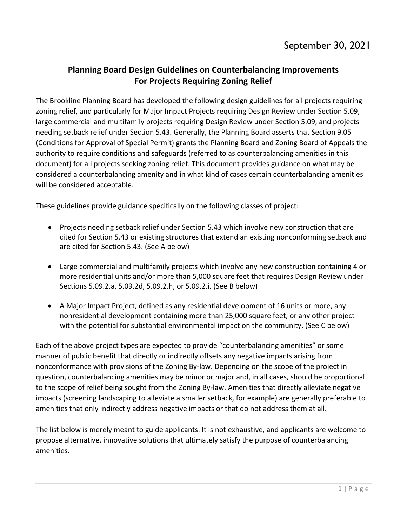# **Planning Board Design Guidelines on Counterbalancing Improvements For Projects Requiring Zoning Relief**

The Brookline Planning Board has developed the following design guidelines for all projects requiring zoning relief, and particularly for Major Impact Projects requiring Design Review under Section 5.09, large commercial and multifamily projects requiring Design Review under Section 5.09, and projects needing setback relief under Section 5.43. Generally, the Planning Board asserts that Section 9.05 (Conditions for Approval of Special Permit) grants the Planning Board and Zoning Board of Appeals the authority to require conditions and safeguards (referred to as counterbalancing amenities in this document) for all projects seeking zoning relief. This document provides guidance on what may be considered a counterbalancing amenity and in what kind of cases certain counterbalancing amenities will be considered acceptable.

These guidelines provide guidance specifically on the following classes of project:

- Projects needing setback relief under Section 5.43 which involve new construction that are cited for Section 5.43 or existing structures that extend an existing nonconforming setback and are cited for Section 5.43. (See A below)
- Large commercial and multifamily projects which involve any new construction containing 4 or more residential units and/or more than 5,000 square feet that requires Design Review under Sections 5.09.2.a, 5.09.2d, 5.09.2.h, or 5.09.2.i. (See B below)
- A Major Impact Project, defined as any residential development of 16 units or more, any nonresidential development containing more than 25,000 square feet, or any other project with the potential for substantial environmental impact on the community. (See C below)

Each of the above project types are expected to provide "counterbalancing amenities" or some manner of public benefit that directly or indirectly offsets any negative impacts arising from nonconformance with provisions of the Zoning By-law. Depending on the scope of the project in question, counterbalancing amenities may be minor or major and, in all cases, should be proportional to the scope of relief being sought from the Zoning By-law. Amenities that directly alleviate negative impacts (screening landscaping to alleviate a smaller setback, for example) are generally preferable to amenities that only indirectly address negative impacts or that do not address them at all.

The list below is merely meant to guide applicants. It is not exhaustive, and applicants are welcome to propose alternative, innovative solutions that ultimately satisfy the purpose of counterbalancing amenities.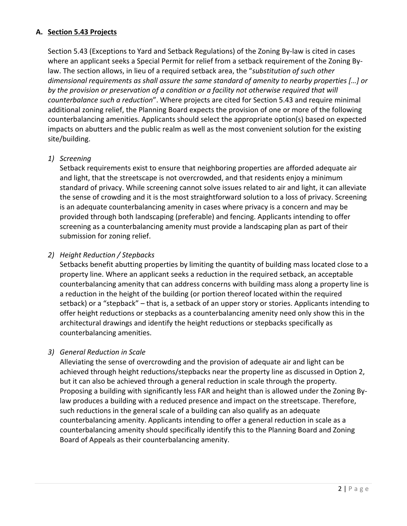# **A. Section 5.43 Projects**

Section 5.43 (Exceptions to Yard and Setback Regulations) of the Zoning By-law is cited in cases where an applicant seeks a Special Permit for relief from a setback requirement of the Zoning Bylaw. The section allows, in lieu of a required setback area, the "*substitution of such other dimensional requirements as shall assure the same standard of amenity to nearby properties […] or by the provision or preservation of a condition or a facility not otherwise required that will counterbalance such a reduction*". Where projects are cited for Section 5.43 and require minimal additional zoning relief, the Planning Board expects the provision of one or more of the following counterbalancing amenities. Applicants should select the appropriate option(s) based on expected impacts on abutters and the public realm as well as the most convenient solution for the existing site/building.

# *1) Screening*

Setback requirements exist to ensure that neighboring properties are afforded adequate air and light, that the streetscape is not overcrowded, and that residents enjoy a minimum standard of privacy. While screening cannot solve issues related to air and light, it can alleviate the sense of crowding and it is the most straightforward solution to a loss of privacy. Screening is an adequate counterbalancing amenity in cases where privacy is a concern and may be provided through both landscaping (preferable) and fencing. Applicants intending to offer screening as a counterbalancing amenity must provide a landscaping plan as part of their submission for zoning relief.

# *2) Height Reduction / Stepbacks*

Setbacks benefit abutting properties by limiting the quantity of building mass located close to a property line. Where an applicant seeks a reduction in the required setback, an acceptable counterbalancing amenity that can address concerns with building mass along a property line is a reduction in the height of the building (or portion thereof located within the required setback) or a "stepback" – that is, a setback of an upper story or stories. Applicants intending to offer height reductions or stepbacks as a counterbalancing amenity need only show this in the architectural drawings and identify the height reductions or stepbacks specifically as counterbalancing amenities.

# *3) General Reduction in Scale*

Alleviating the sense of overcrowding and the provision of adequate air and light can be achieved through height reductions/stepbacks near the property line as discussed in Option 2, but it can also be achieved through a general reduction in scale through the property. Proposing a building with significantly less FAR and height than is allowed under the Zoning Bylaw produces a building with a reduced presence and impact on the streetscape. Therefore, such reductions in the general scale of a building can also qualify as an adequate counterbalancing amenity. Applicants intending to offer a general reduction in scale as a counterbalancing amenity should specifically identify this to the Planning Board and Zoning Board of Appeals as their counterbalancing amenity.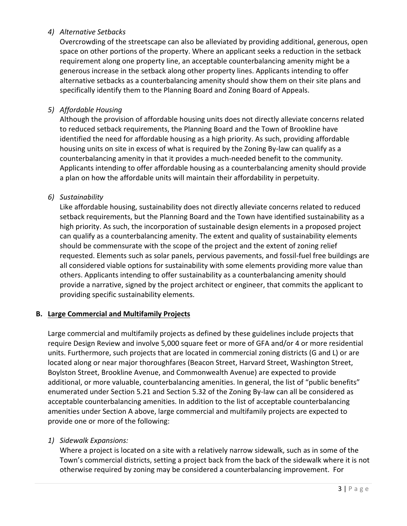# *4) Alternative Setbacks*

Overcrowding of the streetscape can also be alleviated by providing additional, generous, open space on other portions of the property. Where an applicant seeks a reduction in the setback requirement along one property line, an acceptable counterbalancing amenity might be a generous increase in the setback along other property lines. Applicants intending to offer alternative setbacks as a counterbalancing amenity should show them on their site plans and specifically identify them to the Planning Board and Zoning Board of Appeals.

# *5) Affordable Housing*

Although the provision of affordable housing units does not directly alleviate concerns related to reduced setback requirements, the Planning Board and the Town of Brookline have identified the need for affordable housing as a high priority. As such, providing affordable housing units on site in excess of what is required by the Zoning By-law can qualify as a counterbalancing amenity in that it provides a much-needed benefit to the community. Applicants intending to offer affordable housing as a counterbalancing amenity should provide a plan on how the affordable units will maintain their affordability in perpetuity.

# *6) Sustainability*

Like affordable housing, sustainability does not directly alleviate concerns related to reduced setback requirements, but the Planning Board and the Town have identified sustainability as a high priority. As such, the incorporation of sustainable design elements in a proposed project can qualify as a counterbalancing amenity. The extent and quality of sustainability elements should be commensurate with the scope of the project and the extent of zoning relief requested. Elements such as solar panels, pervious pavements, and fossil-fuel free buildings are all considered viable options for sustainability with some elements providing more value than others. Applicants intending to offer sustainability as a counterbalancing amenity should provide a narrative, signed by the project architect or engineer, that commits the applicant to providing specific sustainability elements.

#### **B. Large Commercial and Multifamily Projects**

Large commercial and multifamily projects as defined by these guidelines include projects that require Design Review and involve 5,000 square feet or more of GFA and/or 4 or more residential units. Furthermore, such projects that are located in commercial zoning districts (G and L) or are located along or near major thoroughfares (Beacon Street, Harvard Street, Washington Street, Boylston Street, Brookline Avenue, and Commonwealth Avenue) are expected to provide additional, or more valuable, counterbalancing amenities. In general, the list of "public benefits" enumerated under Section 5.21 and Section 5.32 of the Zoning By-law can all be considered as acceptable counterbalancing amenities. In addition to the list of acceptable counterbalancing amenities under Section A above, large commercial and multifamily projects are expected to provide one or more of the following:

#### *1) Sidewalk Expansions:*

Where a project is located on a site with a relatively narrow sidewalk, such as in some of the Town's commercial districts, setting a project back from the back of the sidewalk where it is not otherwise required by zoning may be considered a counterbalancing improvement. For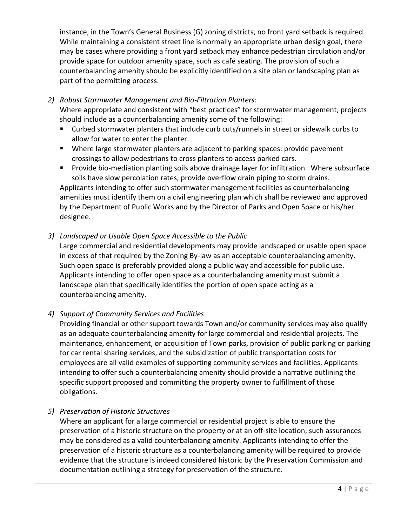instance, in the Town's General Business (G) zoning districts, no front yard setback is required. While maintaining a consistent street line is normally an appropriate urban design goal, there may be cases where providing a front yard setback may enhance pedestrian circulation and/or provide space for outdoor amenity space, such as café seating. The provision of such a counterbalancing amenity should be explicitly identified on a site plan or landscaping plan as part of the permitting process.

*2) Robust Stormwater Management and Bio-Filtration Planters:*

Where appropriate and consistent with "best practices" for stormwater management, projects should include as a counterbalancing amenity some of the following:

- Curbed stormwater planters that include curb cuts/runnels in street or sidewalk curbs to allow for water to enter the planter.
- Where large stormwater planters are adjacent to parking spaces: provide pavement crossings to allow pedestrians to cross planters to access parked cars.
- **Provide bio-mediation planting soils above drainage layer for infiltration. Where subsurface** soils have slow percolation rates, provide overflow drain piping to storm drains.

Applicants intending to offer such stormwater management facilities as counterbalancing amenities must identify them on a civil engineering plan which shall be reviewed and approved by the Department of Public Works and by the Director of Parks and Open Space or his/her designee.

*3) Landscaped or Usable Open Space Accessible to the Public*

Large commercial and residential developments may provide landscaped or usable open space in excess of that required by the Zoning By-law as an acceptable counterbalancing amenity. Such open space is preferably provided along a public way and accessible for public use. Applicants intending to offer open space as a counterbalancing amenity must submit a landscape plan that specifically identifies the portion of open space acting as a counterbalancing amenity.

*4) Support of Community Services and Facilities*

Providing financial or other support towards Town and/or community services may also qualify as an adequate counterbalancing amenity for large commercial and residential projects. The maintenance, enhancement, or acquisition of Town parks, provision of public parking or parking for car rental sharing services, and the subsidization of public transportation costs for employees are all valid examples of supporting community services and facilities. Applicants intending to offer such a counterbalancing amenity should provide a narrative outlining the specific support proposed and committing the property owner to fulfillment of those obligations.

*5) Preservation of Historic Structures*

Where an applicant for a large commercial or residential project is able to ensure the preservation of a historic structure on the property or at an off-site location, such assurances may be considered as a valid counterbalancing amenity. Applicants intending to offer the preservation of a historic structure as a counterbalancing amenity will be required to provide evidence that the structure is indeed considered historic by the Preservation Commission and documentation outlining a strategy for preservation of the structure.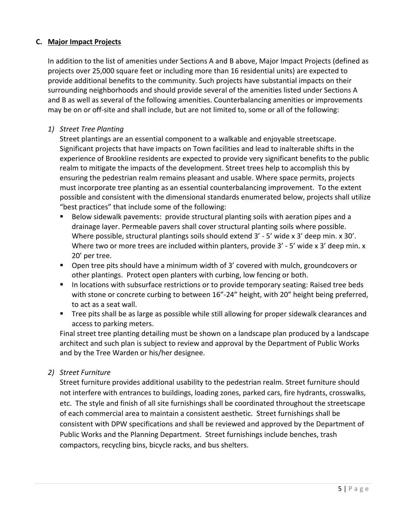# **C. Major Impact Projects**

In addition to the list of amenities under Sections A and B above, Major Impact Projects (defined as projects over 25,000 square feet or including more than 16 residential units) are expected to provide additional benefits to the community. Such projects have substantial impacts on their surrounding neighborhoods and should provide several of the amenities listed under Sections A and B as well as several of the following amenities. Counterbalancing amenities or improvements may be on or off-site and shall include, but are not limited to, some or all of the following:

# *1) Street Tree Planting*

Street plantings are an essential component to a walkable and enjoyable streetscape. Significant projects that have impacts on Town facilities and lead to inalterable shifts in the experience of Brookline residents are expected to provide very significant benefits to the public realm to mitigate the impacts of the development. Street trees help to accomplish this by ensuring the pedestrian realm remains pleasant and usable. Where space permits, projects must incorporate tree planting as an essential counterbalancing improvement. To the extent possible and consistent with the dimensional standards enumerated below, projects shall utilize "best practices" that include some of the following:

- Below sidewalk pavements: provide structural planting soils with aeration pipes and a drainage layer. Permeable pavers shall cover structural planting soils where possible. Where possible, structural plantings soils should extend 3' - 5' wide x 3' deep min. x 30'. Where two or more trees are included within planters, provide 3' - 5' wide x 3' deep min. x 20' per tree.
- Open tree pits should have a minimum width of 3' covered with mulch, groundcovers or other plantings. Protect open planters with curbing, low fencing or both.
- In locations with subsurface restrictions or to provide temporary seating: Raised tree beds with stone or concrete curbing to between 16"-24" height, with 20" height being preferred, to act as a seat wall.
- **Tree pits shall be as large as possible while still allowing for proper sidewalk clearances and** access to parking meters.

Final street tree planting detailing must be shown on a landscape plan produced by a landscape architect and such plan is subject to review and approval by the Department of Public Works and by the Tree Warden or his/her designee.

# *2) Street Furniture*

Street furniture provides additional usability to the pedestrian realm. Street furniture should not interfere with entrances to buildings, loading zones, parked cars, fire hydrants, crosswalks, etc. The style and finish of all site furnishings shall be coordinated throughout the streetscape of each commercial area to maintain a consistent aesthetic. Street furnishings shall be consistent with DPW specifications and shall be reviewed and approved by the Department of Public Works and the Planning Department. Street furnishings include benches, trash compactors, recycling bins, bicycle racks, and bus shelters.